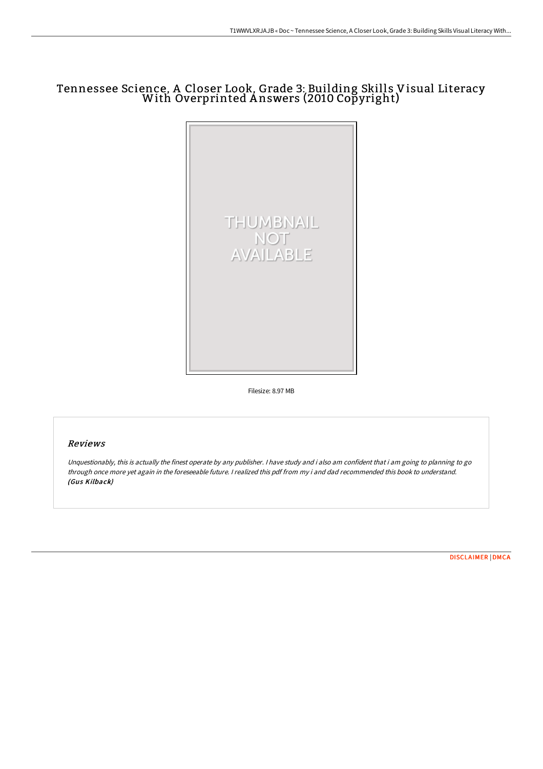# Tennessee Science, <sup>A</sup> Closer Look, Grade 3: Building Skills Visual Literacy With Overprinted <sup>A</sup> nswers (2010 Copyright)



Filesize: 8.97 MB

### Reviews

Unquestionably, this is actually the finest operate by any publisher. <sup>I</sup> have study and i also am confident that i am going to planning to go through once more yet again in the foreseeable future. <sup>I</sup> realized this pdf from my i and dad recommended this book to understand. (Gus Kilback)

[DISCLAIMER](http://techno-pub.tech/disclaimer.html) | [DMCA](http://techno-pub.tech/dmca.html)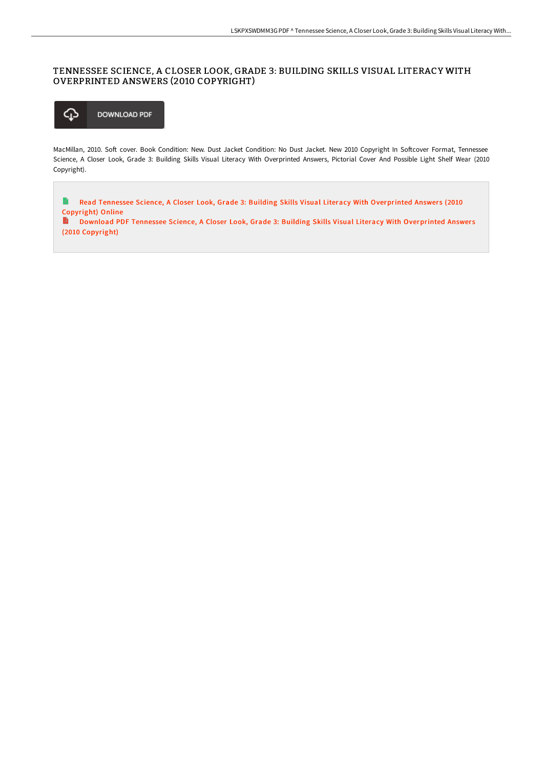#### TENNESSEE SCIENCE, A CLOSER LOOK, GRADE 3: BUILDING SKILLS VISUAL LITERACY WITH OVERPRINTED ANSWERS (2010 COPYRIGHT)



MacMillan, 2010. Soft cover. Book Condition: New. Dust Jacket Condition: No Dust Jacket. New 2010 Copyright In Softcover Format, Tennessee Science, A Closer Look, Grade 3: Building Skills Visual Literacy With Overprinted Answers, Pictorial Cover And Possible Light Shelf Wear (2010 Copyright).